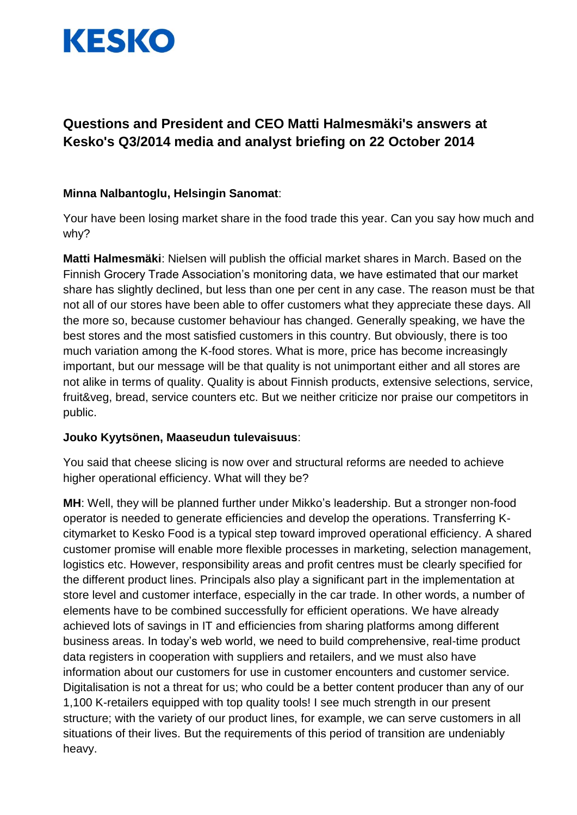

# **Questions and President and CEO Matti Halmesmäki's answers at Kesko's Q3/2014 media and analyst briefing on 22 October 2014**

## **Minna Nalbantoglu, Helsingin Sanomat**:

Your have been losing market share in the food trade this year. Can you say how much and why?

**Matti Halmesmäki**: Nielsen will publish the official market shares in March. Based on the Finnish Grocery Trade Association's monitoring data, we have estimated that our market share has slightly declined, but less than one per cent in any case. The reason must be that not all of our stores have been able to offer customers what they appreciate these days. All the more so, because customer behaviour has changed. Generally speaking, we have the best stores and the most satisfied customers in this country. But obviously, there is too much variation among the K-food stores. What is more, price has become increasingly important, but our message will be that quality is not unimportant either and all stores are not alike in terms of quality. Quality is about Finnish products, extensive selections, service, fruit&veg, bread, service counters etc. But we neither criticize nor praise our competitors in public.

## **Jouko Kyytsönen, Maaseudun tulevaisuus**:

You said that cheese slicing is now over and structural reforms are needed to achieve higher operational efficiency. What will they be?

**MH**: Well, they will be planned further under Mikko's leadership. But a stronger non-food operator is needed to generate efficiencies and develop the operations. Transferring Kcitymarket to Kesko Food is a typical step toward improved operational efficiency. A shared customer promise will enable more flexible processes in marketing, selection management, logistics etc. However, responsibility areas and profit centres must be clearly specified for the different product lines. Principals also play a significant part in the implementation at store level and customer interface, especially in the car trade. In other words, a number of elements have to be combined successfully for efficient operations. We have already achieved lots of savings in IT and efficiencies from sharing platforms among different business areas. In today's web world, we need to build comprehensive, real-time product data registers in cooperation with suppliers and retailers, and we must also have information about our customers for use in customer encounters and customer service. Digitalisation is not a threat for us; who could be a better content producer than any of our 1,100 K-retailers equipped with top quality tools! I see much strength in our present structure; with the variety of our product lines, for example, we can serve customers in all situations of their lives. But the requirements of this period of transition are undeniably heavy.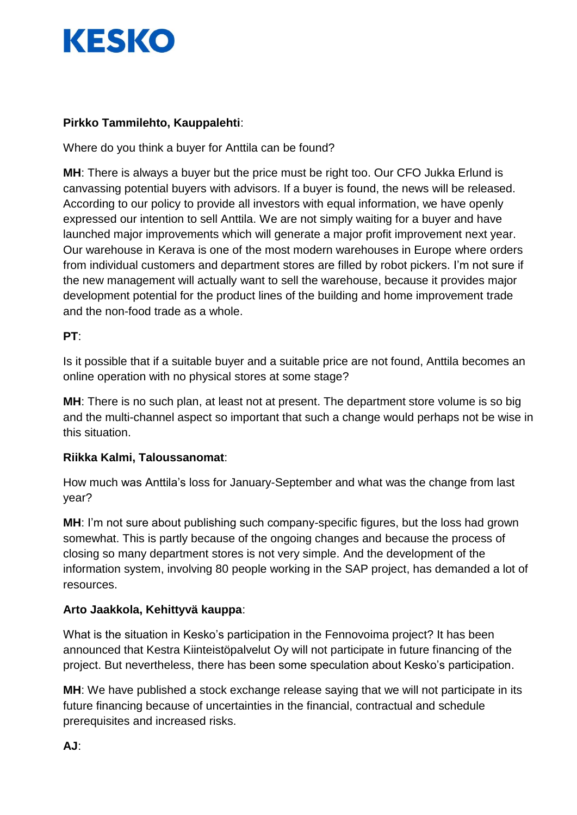

# **Pirkko Tammilehto, Kauppalehti**:

Where do you think a buyer for Anttila can be found?

**MH**: There is always a buyer but the price must be right too. Our CFO Jukka Erlund is canvassing potential buyers with advisors. If a buyer is found, the news will be released. According to our policy to provide all investors with equal information, we have openly expressed our intention to sell Anttila. We are not simply waiting for a buyer and have launched major improvements which will generate a major profit improvement next year. Our warehouse in Kerava is one of the most modern warehouses in Europe where orders from individual customers and department stores are filled by robot pickers. I'm not sure if the new management will actually want to sell the warehouse, because it provides major development potential for the product lines of the building and home improvement trade and the non-food trade as a whole.

## **PT**:

Is it possible that if a suitable buyer and a suitable price are not found, Anttila becomes an online operation with no physical stores at some stage?

**MH**: There is no such plan, at least not at present. The department store volume is so big and the multi-channel aspect so important that such a change would perhaps not be wise in this situation.

## **Riikka Kalmi, Taloussanomat**:

How much was Anttila's loss for January-September and what was the change from last year?

**MH**: I'm not sure about publishing such company-specific figures, but the loss had grown somewhat. This is partly because of the ongoing changes and because the process of closing so many department stores is not very simple. And the development of the information system, involving 80 people working in the SAP project, has demanded a lot of resources.

## **Arto Jaakkola, Kehittyvä kauppa**:

What is the situation in Kesko's participation in the Fennovoima project? It has been announced that Kestra Kiinteistöpalvelut Oy will not participate in future financing of the project. But nevertheless, there has been some speculation about Kesko's participation.

**MH**: We have published a stock exchange release saying that we will not participate in its future financing because of uncertainties in the financial, contractual and schedule prerequisites and increased risks.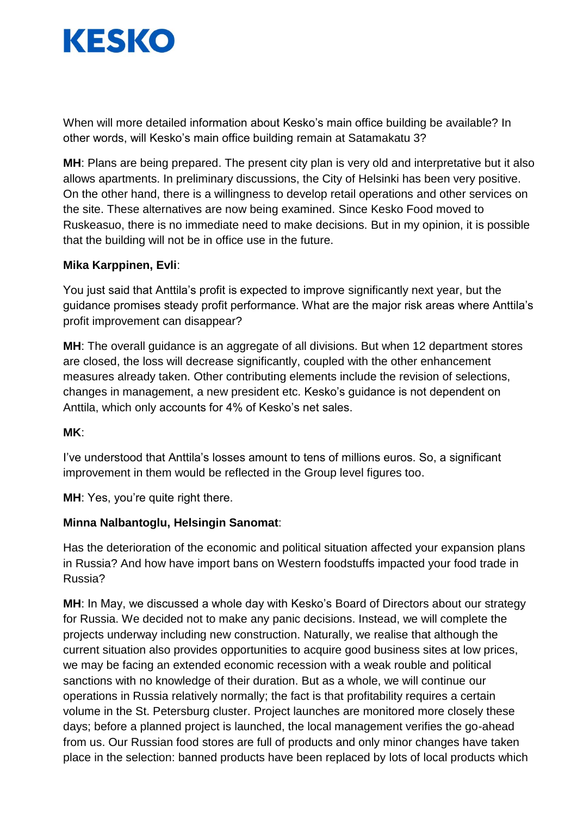

When will more detailed information about Kesko's main office building be available? In other words, will Kesko's main office building remain at Satamakatu 3?

**MH**: Plans are being prepared. The present city plan is very old and interpretative but it also allows apartments. In preliminary discussions, the City of Helsinki has been very positive. On the other hand, there is a willingness to develop retail operations and other services on the site. These alternatives are now being examined. Since Kesko Food moved to Ruskeasuo, there is no immediate need to make decisions. But in my opinion, it is possible that the building will not be in office use in the future.

## **Mika Karppinen, Evli**:

You just said that Anttila's profit is expected to improve significantly next year, but the guidance promises steady profit performance. What are the major risk areas where Anttila's profit improvement can disappear?

**MH**: The overall guidance is an aggregate of all divisions. But when 12 department stores are closed, the loss will decrease significantly, coupled with the other enhancement measures already taken. Other contributing elements include the revision of selections, changes in management, a new president etc. Kesko's guidance is not dependent on Anttila, which only accounts for 4% of Kesko's net sales.

### **MK**:

I've understood that Anttila's losses amount to tens of millions euros. So, a significant improvement in them would be reflected in the Group level figures too.

**MH**: Yes, you're quite right there.

### **Minna Nalbantoglu, Helsingin Sanomat**:

Has the deterioration of the economic and political situation affected your expansion plans in Russia? And how have import bans on Western foodstuffs impacted your food trade in Russia?

**MH**: In May, we discussed a whole day with Kesko's Board of Directors about our strategy for Russia. We decided not to make any panic decisions. Instead, we will complete the projects underway including new construction. Naturally, we realise that although the current situation also provides opportunities to acquire good business sites at low prices, we may be facing an extended economic recession with a weak rouble and political sanctions with no knowledge of their duration. But as a whole, we will continue our operations in Russia relatively normally; the fact is that profitability requires a certain volume in the St. Petersburg cluster. Project launches are monitored more closely these days; before a planned project is launched, the local management verifies the go-ahead from us. Our Russian food stores are full of products and only minor changes have taken place in the selection: banned products have been replaced by lots of local products which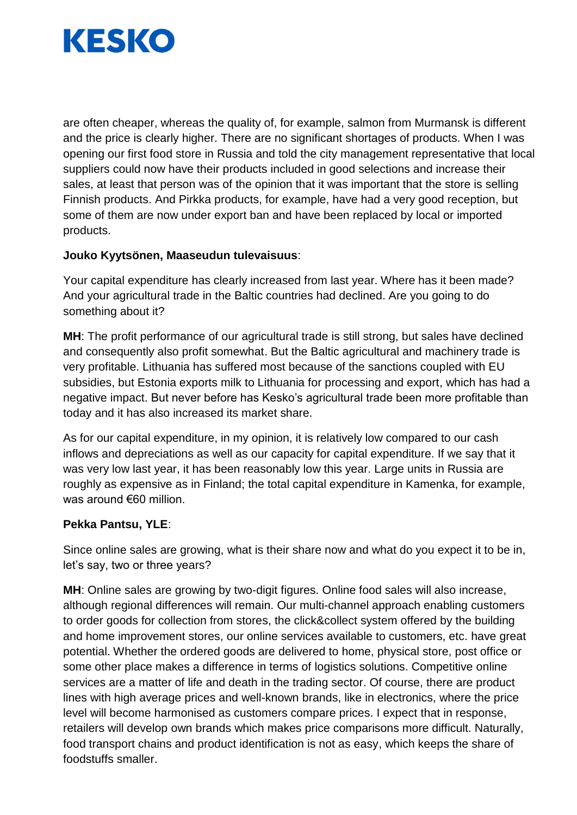

are often cheaper, whereas the quality of, for example, salmon from Murmansk is different and the price is clearly higher. There are no significant shortages of products. When I was opening our first food store in Russia and told the city management representative that local suppliers could now have their products included in good selections and increase their sales, at least that person was of the opinion that it was important that the store is selling Finnish products. And Pirkka products, for example, have had a very good reception, but some of them are now under export ban and have been replaced by local or imported products.

## **Jouko Kyytsönen, Maaseudun tulevaisuus**:

Your capital expenditure has clearly increased from last year. Where has it been made? And your agricultural trade in the Baltic countries had declined. Are you going to do something about it?

**MH**: The profit performance of our agricultural trade is still strong, but sales have declined and consequently also profit somewhat. But the Baltic agricultural and machinery trade is very profitable. Lithuania has suffered most because of the sanctions coupled with EU subsidies, but Estonia exports milk to Lithuania for processing and export, which has had a negative impact. But never before has Kesko's agricultural trade been more profitable than today and it has also increased its market share.

As for our capital expenditure, in my opinion, it is relatively low compared to our cash inflows and depreciations as well as our capacity for capital expenditure. If we say that it was very low last year, it has been reasonably low this year. Large units in Russia are roughly as expensive as in Finland; the total capital expenditure in Kamenka, for example, was around €60 million.

### **Pekka Pantsu, YLE**:

Since online sales are growing, what is their share now and what do you expect it to be in, let's say, two or three years?

**MH**: Online sales are growing by two-digit figures. Online food sales will also increase, although regional differences will remain. Our multi-channel approach enabling customers to order goods for collection from stores, the click&collect system offered by the building and home improvement stores, our online services available to customers, etc. have great potential. Whether the ordered goods are delivered to home, physical store, post office or some other place makes a difference in terms of logistics solutions. Competitive online services are a matter of life and death in the trading sector. Of course, there are product lines with high average prices and well-known brands, like in electronics, where the price level will become harmonised as customers compare prices. I expect that in response, retailers will develop own brands which makes price comparisons more difficult. Naturally, food transport chains and product identification is not as easy, which keeps the share of foodstuffs smaller.